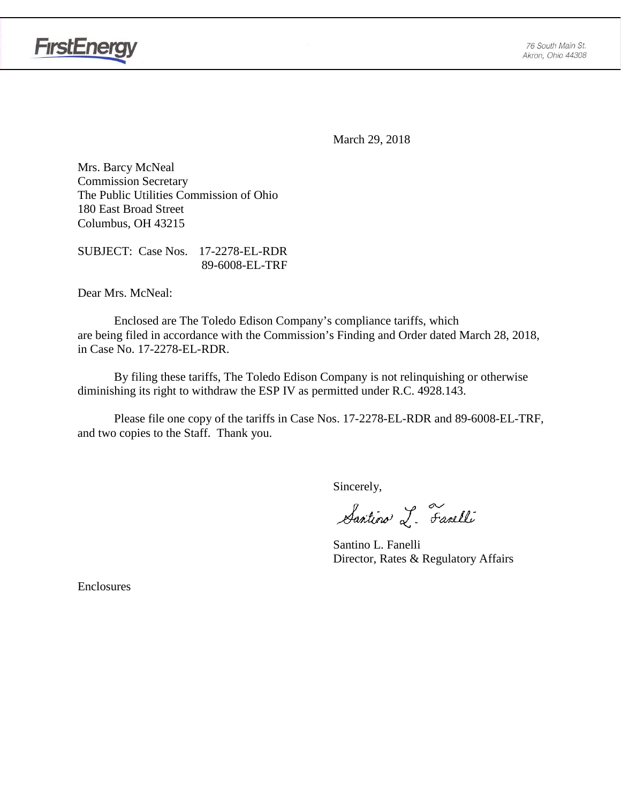



March 29, 2018

Mrs. Barcy McNeal Commission Secretary The Public Utilities Commission of Ohio 180 East Broad Street Columbus, OH 43215

SUBJECT: Case Nos. 17-2278-EL-RDR 89-6008-EL-TRF

Dear Mrs. McNeal:

Enclosed are The Toledo Edison Company's compliance tariffs, which are being filed in accordance with the Commission's Finding and Order dated March 28, 2018, in Case No. 17-2278-EL-RDR.

By filing these tariffs, The Toledo Edison Company is not relinquishing or otherwise diminishing its right to withdraw the ESP IV as permitted under R.C. 4928.143.

Please file one copy of the tariffs in Case Nos. 17-2278-EL-RDR and 89-6008-EL-TRF, and two copies to the Staff. Thank you.

Sincerely,

Santino L. Farelli

Santino L. Fanelli Director, Rates & Regulatory Affairs

Enclosures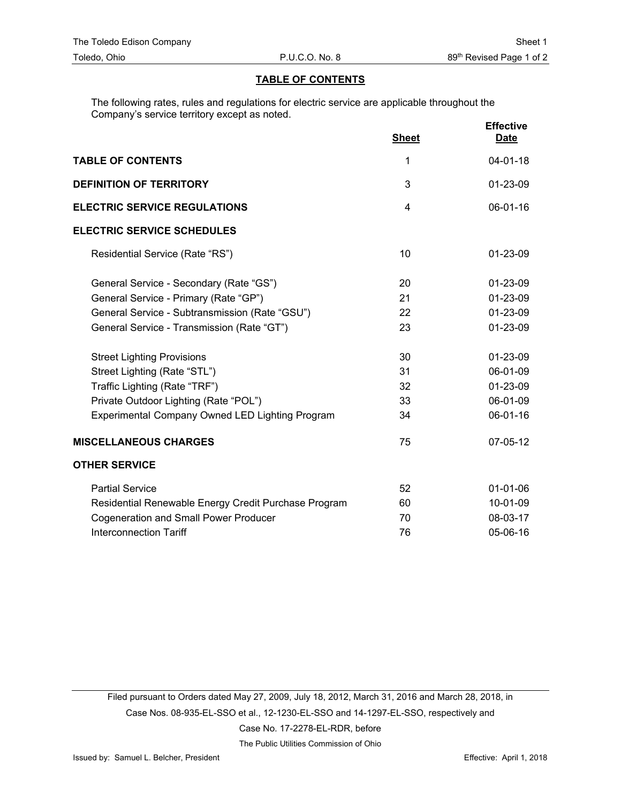#### **TABLE OF CONTENTS**

The following rates, rules and regulations for electric service are applicable throughout the Company's service territory except as noted.

|                                                        | <b>Sheet</b> | <b>Effective</b><br><b>Date</b> |
|--------------------------------------------------------|--------------|---------------------------------|
| <b>TABLE OF CONTENTS</b>                               | 1            | $04 - 01 - 18$                  |
| <b>DEFINITION OF TERRITORY</b>                         | 3            | 01-23-09                        |
| <b>ELECTRIC SERVICE REGULATIONS</b>                    | 4            | 06-01-16                        |
| <b>ELECTRIC SERVICE SCHEDULES</b>                      |              |                                 |
| Residential Service (Rate "RS")                        | 10           | 01-23-09                        |
| General Service - Secondary (Rate "GS")                | 20           | 01-23-09                        |
| General Service - Primary (Rate "GP")                  | 21           | 01-23-09                        |
| General Service - Subtransmission (Rate "GSU")         | 22           | 01-23-09                        |
| General Service - Transmission (Rate "GT")             | 23           | 01-23-09                        |
| <b>Street Lighting Provisions</b>                      | 30           | 01-23-09                        |
| Street Lighting (Rate "STL")                           | 31           | 06-01-09                        |
| Traffic Lighting (Rate "TRF")                          | 32           | 01-23-09                        |
| Private Outdoor Lighting (Rate "POL")                  | 33           | 06-01-09                        |
| <b>Experimental Company Owned LED Lighting Program</b> | 34           | 06-01-16                        |
| <b>MISCELLANEOUS CHARGES</b>                           | 75           | 07-05-12                        |
| <b>OTHER SERVICE</b>                                   |              |                                 |
| <b>Partial Service</b>                                 | 52           | $01 - 01 - 06$                  |
| Residential Renewable Energy Credit Purchase Program   | 60           | 10-01-09                        |
| <b>Cogeneration and Small Power Producer</b>           | 70           | 08-03-17                        |
| <b>Interconnection Tariff</b>                          | 76           | 05-06-16                        |

Filed pursuant to Orders dated May 27, 2009, July 18, 2012, March 31, 2016 and March 28, 2018, in Case Nos. 08-935-EL-SSO et al., 12-1230-EL-SSO and 14-1297-EL-SSO, respectively and Case No. 17-2278-EL-RDR, before

The Public Utilities Commission of Ohio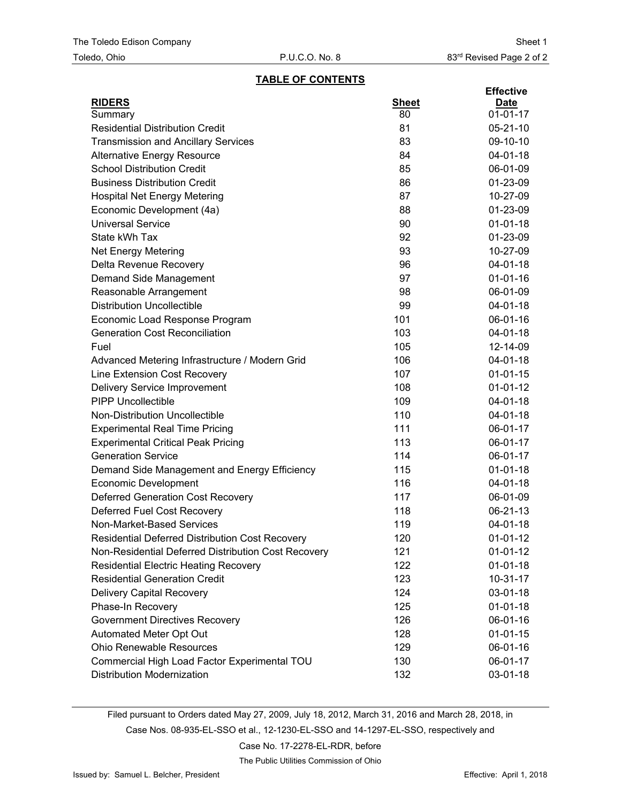### **TABLE OF CONTENTS**

|                                                     |              | <b>Effective</b> |
|-----------------------------------------------------|--------------|------------------|
| <b>RIDERS</b>                                       | <b>Sheet</b> | <b>Date</b>      |
| Summary                                             | 80           | $01 - 01 - 17$   |
| <b>Residential Distribution Credit</b>              | 81           | $05 - 21 - 10$   |
| <b>Transmission and Ancillary Services</b>          | 83           | 09-10-10         |
| <b>Alternative Energy Resource</b>                  | 84           | 04-01-18         |
| <b>School Distribution Credit</b>                   | 85           | 06-01-09         |
| <b>Business Distribution Credit</b>                 | 86           | 01-23-09         |
| <b>Hospital Net Energy Metering</b>                 | 87           | 10-27-09         |
| Economic Development (4a)                           | 88           | 01-23-09         |
| <b>Universal Service</b>                            | 90           | $01 - 01 - 18$   |
| State kWh Tax                                       | 92           | 01-23-09         |
| <b>Net Energy Metering</b>                          | 93           | 10-27-09         |
| Delta Revenue Recovery                              | 96           | 04-01-18         |
| Demand Side Management                              | 97           | $01 - 01 - 16$   |
| Reasonable Arrangement                              | 98           | 06-01-09         |
| <b>Distribution Uncollectible</b>                   | 99           | $04 - 01 - 18$   |
| Economic Load Response Program                      | 101          | 06-01-16         |
| <b>Generation Cost Reconciliation</b>               | 103          | 04-01-18         |
| Fuel                                                | 105          | 12-14-09         |
| Advanced Metering Infrastructure / Modern Grid      | 106          | $04 - 01 - 18$   |
| Line Extension Cost Recovery                        | 107          | $01 - 01 - 15$   |
| <b>Delivery Service Improvement</b>                 | 108          | $01 - 01 - 12$   |
| <b>PIPP Uncollectible</b>                           | 109          | 04-01-18         |
| Non-Distribution Uncollectible                      | 110          | 04-01-18         |
| <b>Experimental Real Time Pricing</b>               | 111          | 06-01-17         |
| <b>Experimental Critical Peak Pricing</b>           | 113          | 06-01-17         |
| <b>Generation Service</b>                           | 114          | 06-01-17         |
| Demand Side Management and Energy Efficiency        | 115          | $01 - 01 - 18$   |
| <b>Economic Development</b>                         | 116          | 04-01-18         |
| <b>Deferred Generation Cost Recovery</b>            | 117          | 06-01-09         |
| Deferred Fuel Cost Recovery                         | 118          | 06-21-13         |
| Non-Market-Based Services                           | 119          | 04-01-18         |
| Residential Deferred Distribution Cost Recovery     | 120          | $01-01-12$       |
| Non-Residential Deferred Distribution Cost Recovery | 121          | $01-01-12$       |
| <b>Residential Electric Heating Recovery</b>        | 122          | $01 - 01 - 18$   |
| <b>Residential Generation Credit</b>                | 123          | $10-31-17$       |
| <b>Delivery Capital Recovery</b>                    | 124          | 03-01-18         |
| Phase-In Recovery                                   | 125          | $01 - 01 - 18$   |
| <b>Government Directives Recovery</b>               | 126          | 06-01-16         |
| Automated Meter Opt Out                             | 128          | $01 - 01 - 15$   |
| <b>Ohio Renewable Resources</b>                     | 129          | 06-01-16         |
| Commercial High Load Factor Experimental TOU        | 130          | 06-01-17         |
| <b>Distribution Modernization</b>                   | 132          | 03-01-18         |

Filed pursuant to Orders dated May 27, 2009, July 18, 2012, March 31, 2016 and March 28, 2018, in

Case Nos. 08-935-EL-SSO et al., 12-1230-EL-SSO and 14-1297-EL-SSO, respectively and

Case No. 17-2278-EL-RDR, before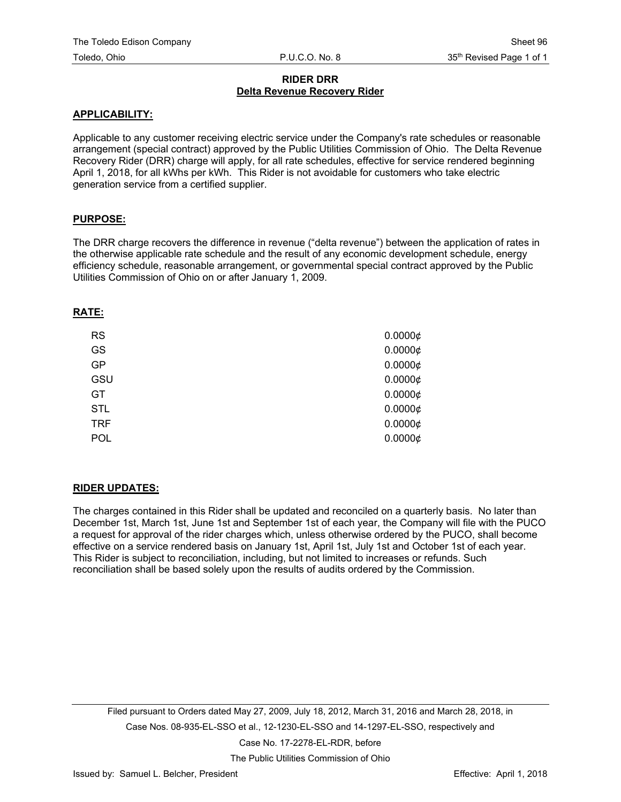## **RIDER DRR Delta Revenue Recovery Rider**

### **APPLICABILITY:**

Applicable to any customer receiving electric service under the Company's rate schedules or reasonable arrangement (special contract) approved by the Public Utilities Commission of Ohio. The Delta Revenue Recovery Rider (DRR) charge will apply, for all rate schedules, effective for service rendered beginning April 1, 2018, for all kWhs per kWh. This Rider is not avoidable for customers who take electric generation service from a certified supplier.

## **PURPOSE:**

The DRR charge recovers the difference in revenue ("delta revenue") between the application of rates in the otherwise applicable rate schedule and the result of any economic development schedule, energy efficiency schedule, reasonable arrangement, or governmental special contract approved by the Public Utilities Commission of Ohio on or after January 1, 2009.

### **RATE:**

| <b>RS</b>  | $0.0000 \notin$ |
|------------|-----------------|
| GS         | $0.0000 \notin$ |
| GP         | $0.0000 \notin$ |
| GSU        | $0.0000 \notin$ |
| GT         | $0.0000 \notin$ |
| <b>STL</b> | $0.0000 \notin$ |
| <b>TRF</b> | $0.0000 \notin$ |
| <b>POL</b> | $0.0000 \notin$ |

## **RIDER UPDATES:**

The charges contained in this Rider shall be updated and reconciled on a quarterly basis. No later than December 1st, March 1st, June 1st and September 1st of each year, the Company will file with the PUCO a request for approval of the rider charges which, unless otherwise ordered by the PUCO, shall become effective on a service rendered basis on January 1st, April 1st, July 1st and October 1st of each year. This Rider is subject to reconciliation, including, but not limited to increases or refunds. Such reconciliation shall be based solely upon the results of audits ordered by the Commission.

Filed pursuant to Orders dated May 27, 2009, July 18, 2012, March 31, 2016 and March 28, 2018, in Case Nos. 08-935-EL-SSO et al., 12-1230-EL-SSO and 14-1297-EL-SSO, respectively and Case No. 17-2278-EL-RDR, before

The Public Utilities Commission of Ohio